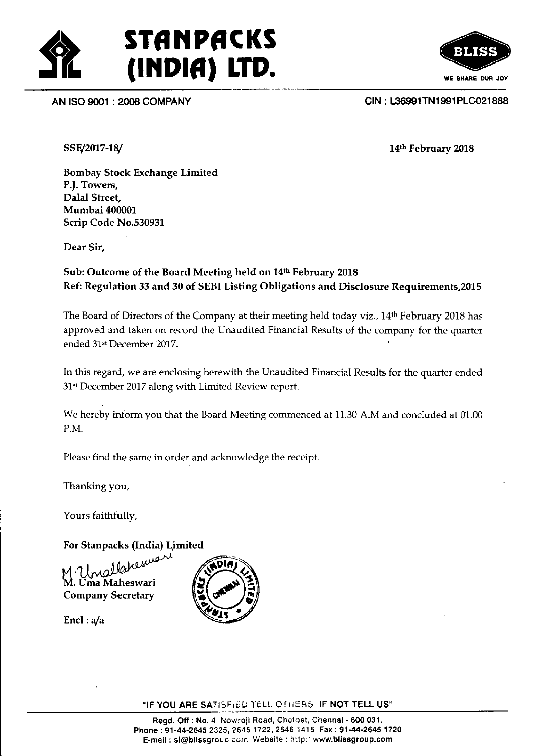





SSE/2017-18/

14th February 2018

Bombay Stock Exchange Limited P.J. Towers, Dalal Street, Mumbai 400001 Scrip Code No.530931

Dear Sir,

## Sub: Outcome of the Board Meeting held on 14th February 2018 Ref: Regulation 33 and 30 of SEBI Listing Obligations and Disclosure Requirements,20l5

The Board of Directors of the Company at their meeting held today viz., 14<sup>th</sup> February 2018 has approved and taken on record the Unaudited Financial Results of the company for the quarter ended 31<sup>st</sup> December 2017.

In this regard, we are enclosing herewith the Unaudited Financial Results for the quarter ended 31\* December 2017 along with Limited Review report.

We hereby inform you that the Board Meeting commenced at 11.30 A.M and concluded at 01.00 P.M.

Please find the same in order and acknowledge the receipt.

Thanking you,

Yours faithfully,

For Stanpacks (India) Limited

Unallaheswari<br>Uma Maheswari Company Secretary

Encl :  $a/a$ 



"IF YOU ARE SATISFIED TELL O FHERS. IF NOT TELL US"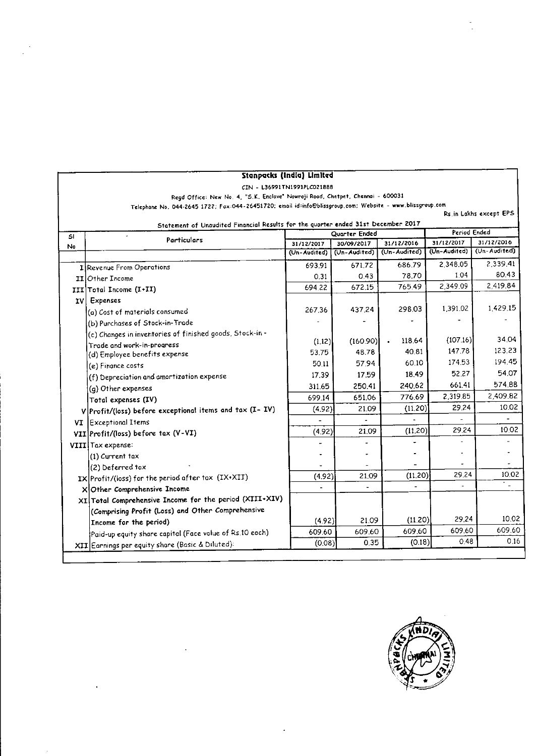| CIN - L36991TN1991PLC021888<br>Regd Office: New No. 4, "S.K. Enclave" Nowroji Road, Chetpet, Chennai - 600031 |                                                           |              |               |                            |                            |                            |  |  |
|---------------------------------------------------------------------------------------------------------------|-----------------------------------------------------------|--------------|---------------|----------------------------|----------------------------|----------------------------|--|--|
| Telephone No. 044-2645 1722; Fax:044-26451720; email id:info@blissgroup.com; Website - www.blissgroup.com     |                                                           |              |               |                            |                            |                            |  |  |
| Rs.in Lakhs except EPS                                                                                        |                                                           |              |               |                            |                            |                            |  |  |
| Statement of Unaudited Financial Results for the quarter ended 31st December 2017                             |                                                           |              |               |                            |                            |                            |  |  |
| SI.                                                                                                           | Particulars                                               |              | Quarter Ended |                            |                            | Period Ended               |  |  |
| No                                                                                                            |                                                           | 31/12/2017   | 30/09/2017    | 31/12/2016<br>(Un-Audited) | 31/12/2017<br>(Un-Audited) | 31/12/2016<br>(Un-Audited) |  |  |
|                                                                                                               |                                                           | (Un-Audited) | (Un-Audited)  |                            |                            |                            |  |  |
|                                                                                                               | I Revenue From Operations                                 | 693.91       | 67172         | 686.79                     | 2,348.05                   | 2.339.41                   |  |  |
|                                                                                                               | II Other Income                                           | 0.31         | 0.43          | 78.70                      | 1.04                       | 80.43                      |  |  |
|                                                                                                               | III Total Income (I+II)                                   | 694.22       | 672.15        | 765.49                     | 2,349.09                   | 2,419.84                   |  |  |
| <b>IV</b>                                                                                                     | Expenses                                                  |              |               |                            |                            |                            |  |  |
|                                                                                                               | (a) Cost of materials consumed                            | 267.36       | 437.24        | 298.03                     | 1.391.02                   | 1,429.15                   |  |  |
|                                                                                                               | (b) Purchases of Stock-in-Trade                           |              |               |                            |                            |                            |  |  |
|                                                                                                               | (c) Changes in inventories of finished goods, Stock-in -  |              |               |                            |                            | 34.04                      |  |  |
|                                                                                                               | Trade and work-in-progress                                | (1.12)       | (160.90)      | 118.64<br>$\bullet$        | (107.16)<br>147.78         | 123.23                     |  |  |
|                                                                                                               | (d) Employee benefits expense                             | 53.75        | 48.78         | 40.81                      |                            |                            |  |  |
|                                                                                                               | (e) Finance costs                                         | 50.11        | 57.94         | 60.10                      | 174 53                     | 194.45                     |  |  |
|                                                                                                               | (f) Depreciation and amortization expense                 | 17.39        | 17.59         | 18.49                      | 52.27                      | 54.07                      |  |  |
|                                                                                                               | (g) Other expenses                                        | 311.65       | 250.41        | 240.62                     | 66141                      | 574.88                     |  |  |
|                                                                                                               | Total expenses (IV)                                       | 699.14       | 651.06        | 776.69                     | 2,319.85                   | 2,409.82                   |  |  |
|                                                                                                               | V Profit/(loss) before exceptional items and tax (I- IV)  | (4.92)       | 21.09         | (11.20)                    | 29.24                      | 10.02                      |  |  |
|                                                                                                               | VI Exceptional Items                                      |              |               |                            |                            | $\hbox{\small -}$          |  |  |
|                                                                                                               | VII Profit/(loss) before tax (V-VI)                       | (4.92)       | 21.09         | (11.20)                    | 29 24                      | 10.02                      |  |  |
|                                                                                                               | VIII Tax expense:                                         |              |               |                            |                            |                            |  |  |
|                                                                                                               | (1) Current tax                                           |              |               |                            |                            |                            |  |  |
|                                                                                                               | (2) Deferred tax                                          |              |               |                            |                            |                            |  |  |
|                                                                                                               | IX Profit/(loss) for the period after tax (IX+XII)        | (4.92)       | 21.09         | (11.20)                    | 29.24                      | 10.02                      |  |  |
|                                                                                                               | XOther Comprehensive Income                               |              |               |                            |                            | t Li                       |  |  |
|                                                                                                               | XI   Total Comprehensive Income for the period (XIII+XIV) |              |               |                            |                            |                            |  |  |
|                                                                                                               | (Comprising Profit (Loss) and Other Comprehensive         |              |               |                            |                            |                            |  |  |
|                                                                                                               | Income for the period)                                    | (4.92)       | 21.09         | (11,20)                    | 29.24                      | 10.02                      |  |  |
|                                                                                                               | Paid-up equity share capital (Face value of Rs.10 each)   | 609.60       | 609.60        | 609.60                     | 609.60                     | 609.60                     |  |  |
|                                                                                                               | XII Earnings per equity share (Basic & Diluted):          | (0.08)       | 0.35          | (0.18)                     | 0.48                       | 0,16                       |  |  |



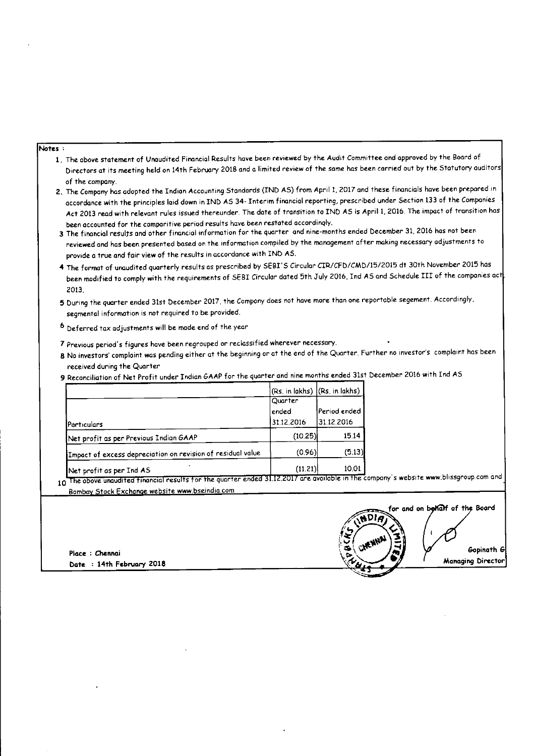#### Notes:

- 1. The above statement of Unaudited Financial Results have been reviewed by the Audit Committee and approved by the Board of Directors at its meeting held on 14th February 2018 and a limited review of the same has been carried out by the Statutory auditors of the company.
- 2. The Company has adopted the Indian Accounting Standards (IND AS) from April 1, 2017 and these financials have been prepared in accordance with the principles laid down in IND AS 34- Interim financial reporting, prescribed under Section 133 of the Companies Act 2013 read with relevant rules issued thereunder. The date of transition to IND AS is April 1, 2016. The impact of transition has been accounted for the comparitive period results have been restated accordinaly.
- 3 The financial results and other financial information for the quarter and nine-months ended December 31, 2016 has not been reviewed and has been presented based on the information compiled by the management after making necessary adjustments to provide a true and fair view of the results in accordance with IND AS.
- 4 The format of unaudited quarterly results as prescribed by SEBI'S Circular CIR/CFD/CMD/15/2015 dt 30th November 2015 has been modified to comply with the requirements of SEBI Circular dated 5th July 2016, Ind AS and Schedule III of the companies act 2013.
- 5 During the quarter ended 31st December 2017, the Company does not have more than one reportable segement. Accordingly, segmental information is not required to be provided.
- 6 Deferred tax adjustments will be made end of the year
- 7 Previous period's figures have been regrouped or reclassified wherever necessary.
- 8 No investors' complaint was pending either at the beginning or at the end of the Quarter. Further no investor's complaint has been received during the Quarter
- 9 Reconciliation of Net Profit under Indian GAAP for the quarter and nine months ended 31st December 2016 with Ind AS

|                                                             |            | $\vert$ (Rs. in lakhs) $\vert$ (Rs. in lakhs) $\vert$ |
|-------------------------------------------------------------|------------|-------------------------------------------------------|
|                                                             | Quarter    |                                                       |
|                                                             | lended     | Period ended                                          |
| Particulars                                                 | 31.12.2016 | 31.12.2016                                            |
| Net profit as per Previous Indian GAAP                      | (10.25)    | 15.14                                                 |
| Impact of excess depreciation on revision of residual value | (0.96)     | (5.13)                                                |
| Net profit as per Ind AS                                    | (11.21)    | 10.01                                                 |

10 The above unaudited financial results for the quarter ended 31.12.2017 are available in the company's website www.blissgroup.com and Bombay Stock Exchange website www.bseindia.com

Place: Chennai Date : 14th February 2018